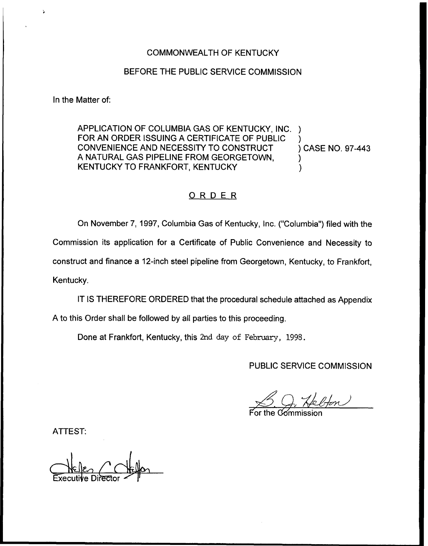### COMMONWEALTH OF KENTUCKY

#### BEFORE THE PUBLIC SERVICE COMMISSION

In the Matter of:

Ž,

APPLICATION OF COLUMBIA GAS OF KENTUCKY, INC. FOR AN ORDER ISSUING A CERTIFICATE OF PUBLIC )<br>CONVENIENCE AND NECESSITY TO CONSTRUCT ) CASE NO. 97-443 CONVENIENCE AND NECESSITY TO CONSTRUCT A NATURAL GAS PIPELINE FROM GEORGETOWN, ) KENTUCKY TO FRANKFORT, KENTUCKY

#### ORDER

On November 7, 1997, Columbia Gas of Kentucky, Inc. ("Columbia") filed with the Commission its application for a Certificate of Public Convenience and Necessity to construct and finance a 12-inch steel pipeline from Georgetown, Kentucky, to Frankfort, Kentucky.

IT IS THEREFORE ORDERED that the procedural schedule attached as Appendix

A to this Order shall be followed by all parties to this proceeding.

Done at Frankfort, Kentucky, this 2nd day of February, 1998.

PUBLIC SERVICE COMMISSION

For the Commissic

ATTEST:

 $C$ NELIE<sub>O</sub> (KELIEO<br>Executive Director